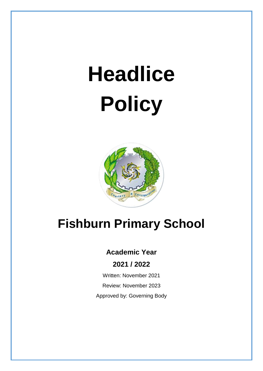# **Headlice Policy**



## **Fishburn Primary School**

### **Academic Year**

**2021 / 2022**

Written: November 2021 Review: November 2023 Approved by: Governing Body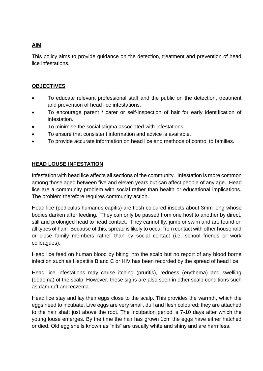#### **AIM**

This policy aims to provide guidance on the detection, treatment and prevention of head lice infestations.

#### **OBJECTIVES**

- To educate relevant professional staff and the public on the detection, treatment and prevention of head lice infestations.
- To encourage parent / carer or self-inspection of hair for early identification of infestation.
- To minimise the social stigma associated with infestations.
- To ensure that consistent information and advice is available.
- To provide accurate information on head lice and methods of control to families.

#### **HEAD LOUSE INFESTATION**

Infestation with head lice affects all sections of the community. Infestation is more common among those aged between five and eleven years but can affect people of any age. Head lice are a community problem with social rather than health or educational implications. The problem therefore requires community action.

Head lice (pediculus humanus capitis) are flesh coloured insects about 3mm long whose bodies darken after feeding. They can only be passed from one host to another by direct, still and prolonged head to head contact. They cannot fly, jump or swim and are found on all types of hair. Because of this, spread is likely to occur from contact with other household or close family members rather than by social contact (i.e. school friends or work colleagues).

Head lice feed on human blood by biting into the scalp but no report of any blood borne infection such as Hepatitis B and C or HIV has been recorded by the spread of head lice.

Head lice infestations may cause itching (pruritis), redness (erythema) and swelling (oedema) of the scalp. However, these signs are also seen in other scalp conditions such as dandruff and eczema.

Head lice stay and lay their eggs close to the scalp. This provides the warmth, which the eggs need to incubate. Live eggs are very small, dull and flesh coloured; they are attached to the hair shaft just above the root. The incubation period is 7-10 days after which the young louse emerges. By the time the hair has grown 1cm the eggs have either hatched or died. Old egg shells known as "nits" are usually white and shiny and are harmless.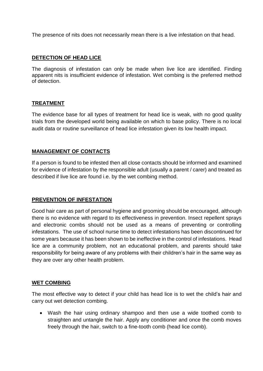The presence of nits does not necessarily mean there is a live infestation on that head.

#### **DETECTION OF HEAD LICE**

The diagnosis of infestation can only be made when live lice are identified. Finding apparent nits is insufficient evidence of infestation. Wet combing is the preferred method of detection.

#### **TREATMENT**

The evidence base for all types of treatment for head lice is weak, with no good quality trials from the developed world being available on which to base policy. There is no local audit data or routine surveillance of head lice infestation given its low health impact.

#### **MANAGEMENT OF CONTACTS**

If a person is found to be infested then all close contacts should be informed and examined for evidence of infestation by the responsible adult (usually a parent / carer) and treated as described if live lice are found i.e. by the wet combing method.

#### **PREVENTION OF INFESTATION**

Good hair care as part of personal hygiene and grooming should be encouraged, although there is no evidence with regard to its effectiveness in prevention. Insect repellent sprays and electronic combs should not be used as a means of preventing or controlling infestations. The use of school nurse time to detect infestations has been discontinued for some years because it has been shown to be ineffective in the control of infestations. Head lice are a community problem, not an educational problem, and parents should take responsibility for being aware of any problems with their children's hair in the same way as they are over any other health problem.

#### **WET COMBING**

The most effective way to detect if your child has head lice is to wet the child's hair and carry out wet detection combing.

• Wash the hair using ordinary shampoo and then use a wide toothed comb to straighten and untangle the hair. Apply any conditioner and once the comb moves freely through the hair, switch to a fine-tooth comb (head lice comb).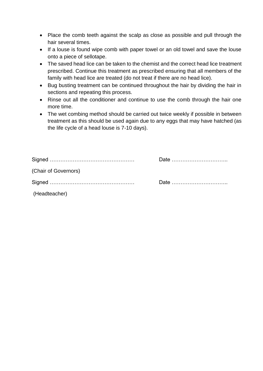- Place the comb teeth against the scalp as close as possible and pull through the hair several times.
- If a louse is found wipe comb with paper towel or an old towel and save the louse onto a piece of sellotape.
- The saved head lice can be taken to the chemist and the correct head lice treatment prescribed. Continue this treatment as prescribed ensuring that all members of the family with head lice are treated (do not treat if there are no head lice).
- Bug busting treatment can be continued throughout the hair by dividing the hair in sections and repeating this process.
- Rinse out all the conditioner and continue to use the comb through the hair one more time.
- The wet combing method should be carried out twice weekly if possible in between treatment as this should be used again due to any eggs that may have hatched (as the life cycle of a head louse is 7-10 days).

| (Chair of Governors) |                                                                     |
|----------------------|---------------------------------------------------------------------|
|                      | Date $\ldots$ $\ldots$ $\ldots$ $\ldots$ $\ldots$ $\ldots$ $\ldots$ |
| (Headteacher)        |                                                                     |